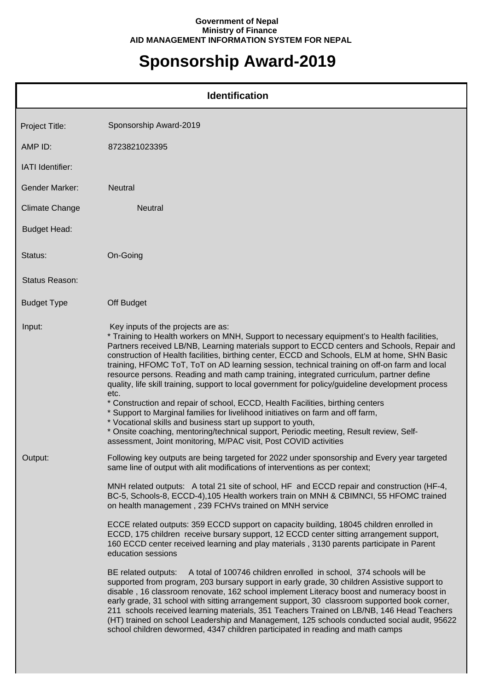## **Government of Nepal Ministry of Finance AID MANAGEMENT INFORMATION SYSTEM FOR NEPAL**

## **Sponsorship Award-2019**

|                       | <b>Identification</b>                                                                                                                                                                                                                                                                                                                                                                                                                                                                                                                                                                                                                                                                                                                                                                                                                                                                                                                                                                                                                                                                                                                                                                                                                                                                                                                                                                                        |
|-----------------------|--------------------------------------------------------------------------------------------------------------------------------------------------------------------------------------------------------------------------------------------------------------------------------------------------------------------------------------------------------------------------------------------------------------------------------------------------------------------------------------------------------------------------------------------------------------------------------------------------------------------------------------------------------------------------------------------------------------------------------------------------------------------------------------------------------------------------------------------------------------------------------------------------------------------------------------------------------------------------------------------------------------------------------------------------------------------------------------------------------------------------------------------------------------------------------------------------------------------------------------------------------------------------------------------------------------------------------------------------------------------------------------------------------------|
| Project Title:        | Sponsorship Award-2019                                                                                                                                                                                                                                                                                                                                                                                                                                                                                                                                                                                                                                                                                                                                                                                                                                                                                                                                                                                                                                                                                                                                                                                                                                                                                                                                                                                       |
| AMP ID:               | 8723821023395                                                                                                                                                                                                                                                                                                                                                                                                                                                                                                                                                                                                                                                                                                                                                                                                                                                                                                                                                                                                                                                                                                                                                                                                                                                                                                                                                                                                |
| IATI Identifier:      |                                                                                                                                                                                                                                                                                                                                                                                                                                                                                                                                                                                                                                                                                                                                                                                                                                                                                                                                                                                                                                                                                                                                                                                                                                                                                                                                                                                                              |
| Gender Marker:        | <b>Neutral</b>                                                                                                                                                                                                                                                                                                                                                                                                                                                                                                                                                                                                                                                                                                                                                                                                                                                                                                                                                                                                                                                                                                                                                                                                                                                                                                                                                                                               |
| <b>Climate Change</b> | <b>Neutral</b>                                                                                                                                                                                                                                                                                                                                                                                                                                                                                                                                                                                                                                                                                                                                                                                                                                                                                                                                                                                                                                                                                                                                                                                                                                                                                                                                                                                               |
| <b>Budget Head:</b>   |                                                                                                                                                                                                                                                                                                                                                                                                                                                                                                                                                                                                                                                                                                                                                                                                                                                                                                                                                                                                                                                                                                                                                                                                                                                                                                                                                                                                              |
| Status:               | On-Going                                                                                                                                                                                                                                                                                                                                                                                                                                                                                                                                                                                                                                                                                                                                                                                                                                                                                                                                                                                                                                                                                                                                                                                                                                                                                                                                                                                                     |
| <b>Status Reason:</b> |                                                                                                                                                                                                                                                                                                                                                                                                                                                                                                                                                                                                                                                                                                                                                                                                                                                                                                                                                                                                                                                                                                                                                                                                                                                                                                                                                                                                              |
| <b>Budget Type</b>    | Off Budget                                                                                                                                                                                                                                                                                                                                                                                                                                                                                                                                                                                                                                                                                                                                                                                                                                                                                                                                                                                                                                                                                                                                                                                                                                                                                                                                                                                                   |
| Input:                | Key inputs of the projects are as:<br>* Training to Health workers on MNH, Support to necessary equipment's to Health facilities,<br>Partners received LB/NB, Learning materials support to ECCD centers and Schools, Repair and<br>construction of Health facilities, birthing center, ECCD and Schools, ELM at home, SHN Basic<br>training, HFOMC ToT, ToT on AD learning session, technical training on off-on farm and local<br>resource persons. Reading and math camp training, integrated curriculum, partner define<br>quality, life skill training, support to local government for policy/guideline development process<br>etc.<br>* Construction and repair of school, ECCD, Health Facilities, birthing centers<br>* Support to Marginal families for livelihood initiatives on farm and off farm,<br>* Vocational skills and business start up support to youth,<br>* Onsite coaching, mentoring/technical support, Periodic meeting, Result review, Self-<br>assessment, Joint monitoring, M/PAC visit, Post COVID activities                                                                                                                                                                                                                                                                                                                                                                  |
| Output:               | Following key outputs are being targeted for 2022 under sponsorship and Every year targeted<br>same line of output with alit modifications of interventions as per context;<br>MNH related outputs: A total 21 site of school, HF and ECCD repair and construction (HF-4,<br>BC-5, Schools-8, ECCD-4), 105 Health workers train on MNH & CBIMNCI, 55 HFOMC trained<br>on health management, 239 FCHVs trained on MNH service<br>ECCE related outputs: 359 ECCD support on capacity building, 18045 children enrolled in<br>ECCD, 175 children receive bursary support, 12 ECCD center sitting arrangement support,<br>160 ECCD center received learning and play materials, 3130 parents participate in Parent<br>education sessions<br>A total of 100746 children enrolled in school, 374 schools will be<br>BE related outputs:<br>supported from program, 203 bursary support in early grade, 30 children Assistive support to<br>disable, 16 classroom renovate, 162 school implement Literacy boost and numeracy boost in<br>early grade, 31 school with sitting arrangement support, 30 classroom supported book corner,<br>211 schools received learning materials, 351 Teachers Trained on LB/NB, 146 Head Teachers<br>(HT) trained on school Leadership and Management, 125 schools conducted social audit, 95622<br>school children dewormed, 4347 children participated in reading and math camps |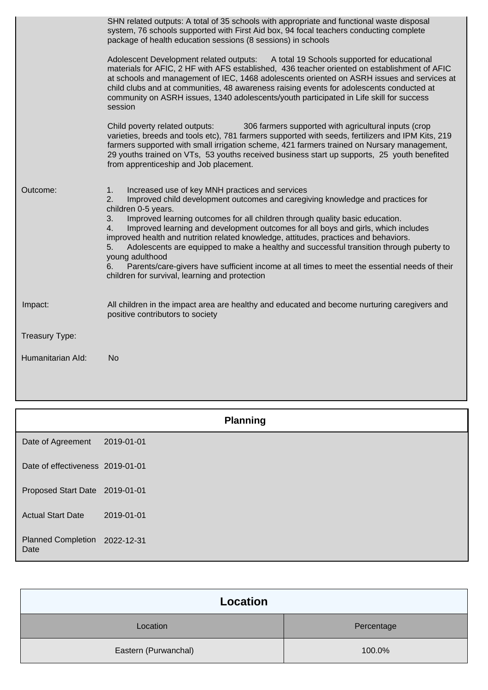|                   | SHN related outputs: A total of 35 schools with appropriate and functional waste disposal<br>system, 76 schools supported with First Aid box, 94 focal teachers conducting complete<br>package of health education sessions (8 sessions) in schools<br>Adolescent Development related outputs: A total 19 Schools supported for educational<br>materials for AFIC, 2 HF with AFS established, 436 teacher oriented on establishment of AFIC<br>at schools and management of IEC, 1468 adolescents oriented on ASRH issues and services at<br>child clubs and at communities, 48 awareness raising events for adolescents conducted at<br>community on ASRH issues, 1340 adolescents/youth participated in Life skill for success<br>session |
|-------------------|---------------------------------------------------------------------------------------------------------------------------------------------------------------------------------------------------------------------------------------------------------------------------------------------------------------------------------------------------------------------------------------------------------------------------------------------------------------------------------------------------------------------------------------------------------------------------------------------------------------------------------------------------------------------------------------------------------------------------------------------|
|                   | 306 farmers supported with agricultural inputs (crop<br>Child poverty related outputs:<br>varieties, breeds and tools etc), 781 farmers supported with seeds, fertilizers and IPM Kits, 219<br>farmers supported with small irrigation scheme, 421 farmers trained on Nursary management,<br>29 youths trained on VTs, 53 youths received business start up supports, 25 youth benefited<br>from apprenticeship and Job placement.                                                                                                                                                                                                                                                                                                          |
| Outcome:          | Increased use of key MNH practices and services<br>1.<br>2.<br>Improved child development outcomes and caregiving knowledge and practices for<br>children 0-5 years.<br>Improved learning outcomes for all children through quality basic education.<br>3.<br>Improved learning and development outcomes for all boys and girls, which includes<br>4.<br>improved health and nutrition related knowledge, attitudes, practices and behaviors.<br>Adolescents are equipped to make a healthy and successful transition through puberty to<br>5.<br>young adulthood<br>Parents/care-givers have sufficient income at all times to meet the essential needs of their<br>6.<br>children for survival, learning and protection                   |
| Impact:           | All children in the impact area are healthy and educated and become nurturing caregivers and<br>positive contributors to society                                                                                                                                                                                                                                                                                                                                                                                                                                                                                                                                                                                                            |
| Treasury Type:    |                                                                                                                                                                                                                                                                                                                                                                                                                                                                                                                                                                                                                                                                                                                                             |
| Humanitarian Ald: | <b>No</b>                                                                                                                                                                                                                                                                                                                                                                                                                                                                                                                                                                                                                                                                                                                                   |

|                                       | <b>Planning</b> |  |
|---------------------------------------|-----------------|--|
| Date of Agreement                     | 2019-01-01      |  |
| Date of effectiveness 2019-01-01      |                 |  |
| Proposed Start Date 2019-01-01        |                 |  |
| <b>Actual Start Date</b>              | 2019-01-01      |  |
| Planned Completion 2022-12-31<br>Date |                 |  |

| Location             |            |  |
|----------------------|------------|--|
| Location             | Percentage |  |
| Eastern (Purwanchal) | 100.0%     |  |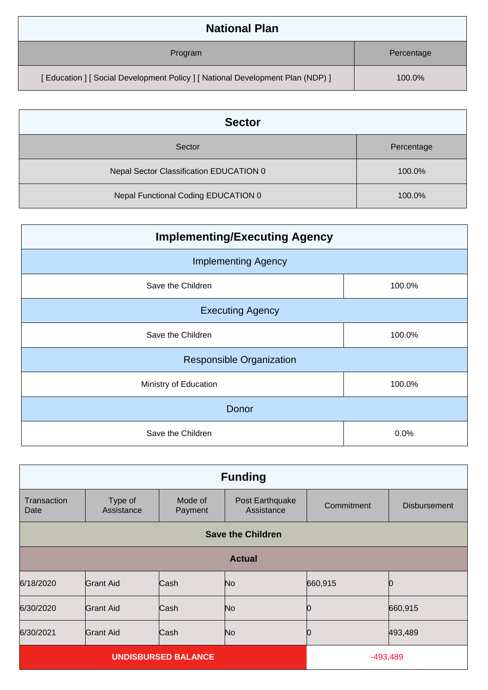| <b>National Plan</b>                                                            |            |  |
|---------------------------------------------------------------------------------|------------|--|
| Program                                                                         | Percentage |  |
| [ Education ] [ Social Development Policy ] [ National Development Plan (NDP) ] | 100.0%     |  |

| <b>Sector</b>                           |            |  |
|-----------------------------------------|------------|--|
| Sector                                  | Percentage |  |
| Nepal Sector Classification EDUCATION 0 | 100.0%     |  |
| Nepal Functional Coding EDUCATION 0     | 100.0%     |  |

| <b>Implementing/Executing Agency</b> |        |  |
|--------------------------------------|--------|--|
| <b>Implementing Agency</b>           |        |  |
| Save the Children                    | 100.0% |  |
| <b>Executing Agency</b>              |        |  |
| Save the Children                    | 100.0% |  |
| <b>Responsible Organization</b>      |        |  |
| Ministry of Education<br>100.0%      |        |  |
| Donor                                |        |  |
| Save the Children                    | 0.0%   |  |

| <b>Funding</b>             |                          |                    |                               |            |                     |
|----------------------------|--------------------------|--------------------|-------------------------------|------------|---------------------|
| Transaction<br>Date        | Type of<br>Assistance    | Mode of<br>Payment | Post Earthquake<br>Assistance | Commitment | <b>Disbursement</b> |
|                            | <b>Save the Children</b> |                    |                               |            |                     |
|                            | <b>Actual</b>            |                    |                               |            |                     |
| 6/18/2020                  | <b>Grant Aid</b>         | Cash               | N <sub>o</sub>                | 660,915    |                     |
| 6/30/2020                  | Grant Aid                | Cash               | N <sub>o</sub>                | 10         | 660,915             |
| 6/30/2021                  | <b>Grant Aid</b>         | Cash               | N <sub>o</sub>                | 10         | 493,489             |
| <b>UNDISBURSED BALANCE</b> |                          |                    | $-493,489$                    |            |                     |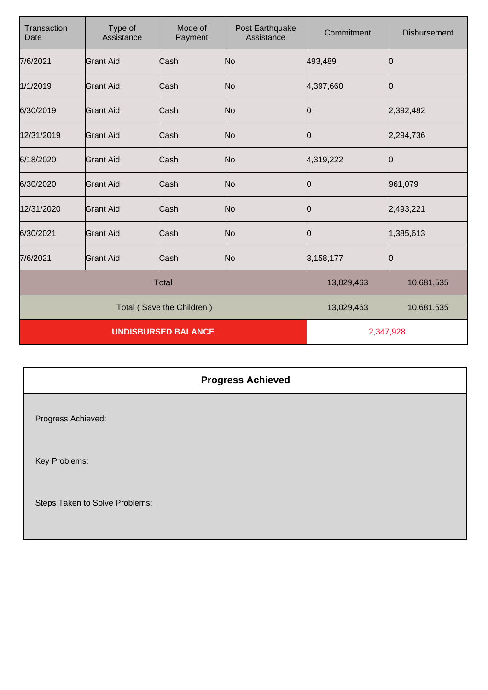| Transaction<br>Date        | Type of<br>Assistance | Mode of<br>Payment | Post Earthquake<br>Assistance | Commitment | <b>Disbursement</b> |
|----------------------------|-----------------------|--------------------|-------------------------------|------------|---------------------|
| 7/6/2021                   | Grant Aid             | Cash               | No                            | 493,489    | Ю                   |
| 1/1/2019                   | <b>Grant Aid</b>      | Cash               | No                            | 4,397,660  | Ю                   |
| 6/30/2019                  | <b>Grant Aid</b>      | Cash               | No                            | 0          | 2,392,482           |
| 12/31/2019                 | <b>Grant Aid</b>      | Cash               | No                            | 0          | 2,294,736           |
| 6/18/2020                  | <b>Grant Aid</b>      | Cash               | No                            | 4,319,222  | O                   |
| 6/30/2020                  | <b>Grant Aid</b>      | Cash               | No                            | 0          | 961,079             |
| 12/31/2020                 | <b>Grant Aid</b>      | Cash               | No                            | 0          | 2,493,221           |
| 6/30/2021                  | <b>Grant Aid</b>      | Cash               | No                            | 10         | 1,385,613           |
| 7/6/2021                   | Grant Aid             | Cash               | No                            | 3,158,177  | 0                   |
| <b>Total</b>               |                       |                    | 13,029,463                    | 10,681,535 |                     |
| Total (Save the Children)  |                       |                    | 13,029,463                    | 10,681,535 |                     |
| <b>UNDISBURSED BALANCE</b> |                       |                    | 2,347,928                     |            |                     |

| <b>Progress Achieved</b>         |
|----------------------------------|
| Progress Achieved:               |
| Key Problems:                    |
| Otage Telian to Oakie Disklament |

Steps Taken to Solve Problems: